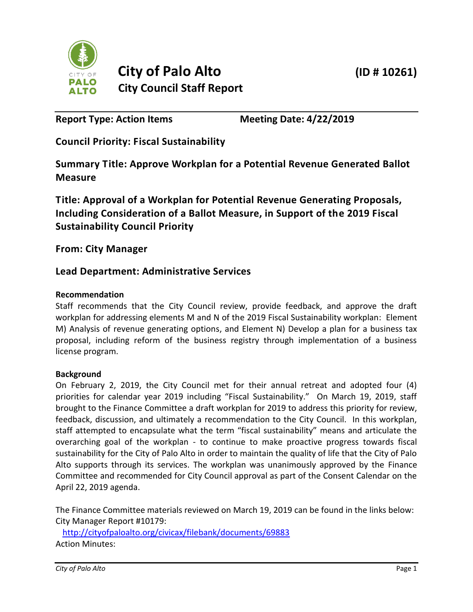

**Report Type: Action Items Meeting Date: 4/22/2019**

**Council Priority: Fiscal Sustainability**

**Summary Title: Approve Workplan for a Potential Revenue Generated Ballot Measure**

**Title: Approval of a Workplan for Potential Revenue Generating Proposals, Including Consideration of a Ballot Measure, in Support of the 2019 Fiscal Sustainability Council Priority**

**From: City Manager**

# **Lead Department: Administrative Services**

## **Recommendation**

Staff recommends that the City Council review, provide feedback, and approve the draft workplan for addressing elements M and N of the 2019 Fiscal Sustainability workplan: Element M) Analysis of revenue generating options, and Element N) Develop a plan for a business tax proposal, including reform of the business registry through implementation of a business license program.

### **Background**

On February 2, 2019, the City Council met for their annual retreat and adopted four (4) priorities for calendar year 2019 including "Fiscal Sustainability." On March 19, 2019, staff brought to the Finance Committee a draft workplan for 2019 to address this priority for review, feedback, discussion, and ultimately a recommendation to the City Council. In this workplan, staff attempted to encapsulate what the term "fiscal sustainability" means and articulate the overarching goal of the workplan - to continue to make proactive progress towards fiscal sustainability for the City of Palo Alto in order to maintain the quality of life that the City of Palo Alto supports through its services. The workplan was unanimously approved by the Finance Committee and recommended for City Council approval as part of the Consent Calendar on the April 22, 2019 agenda.

The Finance Committee materials reviewed on March 19, 2019 can be found in the links below: City Manager Report #10179:

<http://cityofpaloalto.org/civicax/filebank/documents/69883> Action Minutes: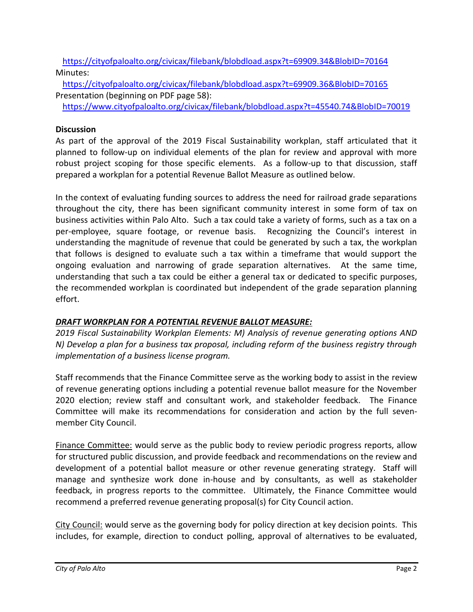<https://cityofpaloalto.org/civicax/filebank/blobdload.aspx?t=69909.34&BlobID=70164> Minutes:

<https://cityofpaloalto.org/civicax/filebank/blobdload.aspx?t=69909.36&BlobID=70165> Presentation (beginning on PDF page 58):

<https://www.cityofpaloalto.org/civicax/filebank/blobdload.aspx?t=45540.74&BlobID=70019>

## **Discussion**

As part of the approval of the 2019 Fiscal Sustainability workplan, staff articulated that it planned to follow-up on individual elements of the plan for review and approval with more robust project scoping for those specific elements. As a follow-up to that discussion, staff prepared a workplan for a potential Revenue Ballot Measure as outlined below.

In the context of evaluating funding sources to address the need for railroad grade separations throughout the city, there has been significant community interest in some form of tax on business activities within Palo Alto. Such a tax could take a variety of forms, such as a tax on a per-employee, square footage, or revenue basis. Recognizing the Council's interest in understanding the magnitude of revenue that could be generated by such a tax, the workplan that follows is designed to evaluate such a tax within a timeframe that would support the ongoing evaluation and narrowing of grade separation alternatives. At the same time, understanding that such a tax could be either a general tax or dedicated to specific purposes, the recommended workplan is coordinated but independent of the grade separation planning effort.

## *DRAFT WORKPLAN FOR A POTENTIAL REVENUE BALLOT MEASURE:*

*2019 Fiscal Sustainability Workplan Elements: M) Analysis of revenue generating options AND N) Develop a plan for a business tax proposal, including reform of the business registry through implementation of a business license program.*

Staff recommends that the Finance Committee serve as the working body to assist in the review of revenue generating options including a potential revenue ballot measure for the November 2020 election; review staff and consultant work, and stakeholder feedback. The Finance Committee will make its recommendations for consideration and action by the full sevenmember City Council.

Finance Committee: would serve as the public body to review periodic progress reports, allow for structured public discussion, and provide feedback and recommendations on the review and development of a potential ballot measure or other revenue generating strategy. Staff will manage and synthesize work done in-house and by consultants, as well as stakeholder feedback, in progress reports to the committee. Ultimately, the Finance Committee would recommend a preferred revenue generating proposal(s) for City Council action.

City Council: would serve as the governing body for policy direction at key decision points. This includes, for example, direction to conduct polling, approval of alternatives to be evaluated,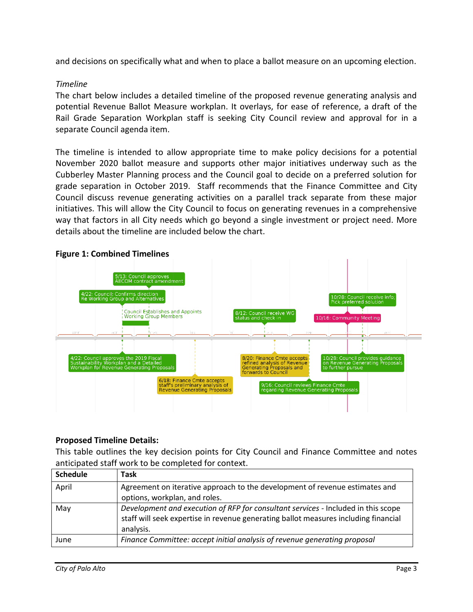and decisions on specifically what and when to place a ballot measure on an upcoming election.

#### *Timeline*

The chart below includes a detailed timeline of the proposed revenue generating analysis and potential Revenue Ballot Measure workplan. It overlays, for ease of reference, a draft of the Rail Grade Separation Workplan staff is seeking City Council review and approval for in a separate Council agenda item.

The timeline is intended to allow appropriate time to make policy decisions for a potential November 2020 ballot measure and supports other major initiatives underway such as the Cubberley Master Planning process and the Council goal to decide on a preferred solution for grade separation in October 2019. Staff recommends that the Finance Committee and City Council discuss revenue generating activities on a parallel track separate from these major initiatives. This will allow the City Council to focus on generating revenues in a comprehensive way that factors in all City needs which go beyond a single investment or project need. More details about the timeline are included below the chart.



### **Figure 1: Combined Timelines**

#### **Proposed Timeline Details:**

This table outlines the key decision points for City Council and Finance Committee and notes anticipated staff work to be completed for context.

| <b>Schedule</b> | Task                                                                                                                                                                                  |
|-----------------|---------------------------------------------------------------------------------------------------------------------------------------------------------------------------------------|
| April           | Agreement on iterative approach to the development of revenue estimates and<br>options, workplan, and roles.                                                                          |
| May             | Development and execution of RFP for consultant services - Included in this scope<br>staff will seek expertise in revenue generating ballot measures including financial<br>analysis. |
| June            | Finance Committee: accept initial analysis of revenue generating proposal                                                                                                             |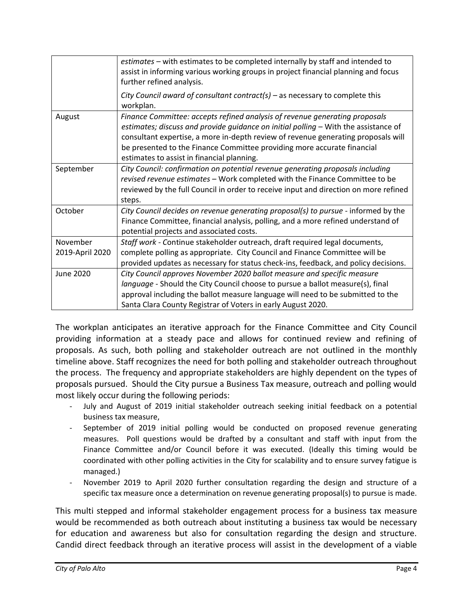|                             | estimates - with estimates to be completed internally by staff and intended to<br>assist in informing various working groups in project financial planning and focus<br>further refined analysis.                                                                                                                                                                                |
|-----------------------------|----------------------------------------------------------------------------------------------------------------------------------------------------------------------------------------------------------------------------------------------------------------------------------------------------------------------------------------------------------------------------------|
|                             | City Council award of consultant contract(s) - as necessary to complete this<br>workplan.                                                                                                                                                                                                                                                                                        |
| August                      | Finance Committee: accepts refined analysis of revenue generating proposals<br>estimates; discuss and provide guidance on initial polling - With the assistance of<br>consultant expertise, a more in-depth review of revenue generating proposals will<br>be presented to the Finance Committee providing more accurate financial<br>estimates to assist in financial planning. |
| September                   | City Council: confirmation on potential revenue generating proposals including<br>revised revenue estimates - Work completed with the Finance Committee to be<br>reviewed by the full Council in order to receive input and direction on more refined<br>steps.                                                                                                                  |
| October                     | City Council decides on revenue generating proposal(s) to pursue - informed by the<br>Finance Committee, financial analysis, polling, and a more refined understand of<br>potential projects and associated costs.                                                                                                                                                               |
| November<br>2019-April 2020 | Staff work - Continue stakeholder outreach, draft required legal documents,<br>complete polling as appropriate. City Council and Finance Committee will be<br>provided updates as necessary for status check-ins, feedback, and policy decisions.                                                                                                                                |
| June 2020                   | City Council approves November 2020 ballot measure and specific measure<br>language - Should the City Council choose to pursue a ballot measure(s), final<br>approval including the ballot measure language will need to be submitted to the<br>Santa Clara County Registrar of Voters in early August 2020.                                                                     |

The workplan anticipates an iterative approach for the Finance Committee and City Council providing information at a steady pace and allows for continued review and refining of proposals. As such, both polling and stakeholder outreach are not outlined in the monthly timeline above. Staff recognizes the need for both polling and stakeholder outreach throughout the process. The frequency and appropriate stakeholders are highly dependent on the types of proposals pursued. Should the City pursue a Business Tax measure, outreach and polling would most likely occur during the following periods:

- July and August of 2019 initial stakeholder outreach seeking initial feedback on a potential business tax measure,
- September of 2019 initial polling would be conducted on proposed revenue generating measures. Poll questions would be drafted by a consultant and staff with input from the Finance Committee and/or Council before it was executed. (Ideally this timing would be coordinated with other polling activities in the City for scalability and to ensure survey fatigue is managed.)
- November 2019 to April 2020 further consultation regarding the design and structure of a specific tax measure once a determination on revenue generating proposal(s) to pursue is made.

This multi stepped and informal stakeholder engagement process for a business tax measure would be recommended as both outreach about instituting a business tax would be necessary for education and awareness but also for consultation regarding the design and structure. Candid direct feedback through an iterative process will assist in the development of a viable